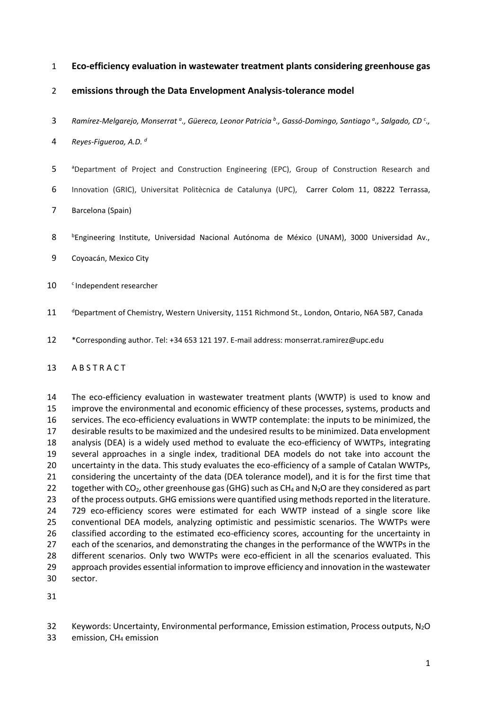### **Eco-efficiency evaluation in wastewater treatment plants considering greenhouse gas**

## **emissions through the Data Envelopment Analysis-tolerance model**

*Ramírez-Melgarejo, Monserrat <sup>a</sup> ., Güereca, Leonor Patricia <sup>b</sup> ., Gassó-Domingo, Santiago <sup>a</sup> ., Salgado, CD <sup>c</sup> .,* 

*Reyes-Figueroa, A.D. <sup>d</sup>*

- 5 a <sup>a</sup> Department of Project and Construction Engineering (EPC), Group of Construction Research and
- Innovation (GRIC), Universitat Politècnica de Catalunya (UPC), Carrer Colom 11, 08222 Terrassa,
- Barcelona (Spain)
- 8 <sup>b</sup>Engineering Institute, Universidad Nacional Autónoma de México (UNAM), 3000 Universidad Av.,
- Coyoacán, Mexico City
- 10 <sup>c</sup> Independent researcher
- 11 <sup>d</sup>Department of Chemistry, Western University, 1151 Richmond St., London, Ontario, N6A 5B7, Canada
- \*Corresponding author. Tel: +34 653 121 197. E-mail address: monserrat.ramirez@upc.edu

### 13 A B S T R A C T

 The eco-efficiency evaluation in wastewater treatment plants (WWTP) is used to know and improve the environmental and economic efficiency of these processes, systems, products and services. The eco-efficiency evaluations in WWTP contemplate: the inputs to be minimized, the desirable results to be maximized and the undesired results to be minimized. Data envelopment analysis (DEA) is a widely used method to evaluate the eco-efficiency of WWTPs, integrating several approaches in a single index, traditional DEA models do not take into account the uncertainty in the data. This study evaluates the eco-efficiency of a sample of Catalan WWTPs, considering the uncertainty of the data (DEA tolerance model), and it is for the first time that 22 together with CO<sub>2</sub>, other greenhouse gas (GHG) such as CH<sub>4</sub> and N<sub>2</sub>O are they considered as part of the process outputs. GHG emissions were quantified using methods reported in the literature. 729 eco-efficiency scores were estimated for each WWTP instead of a single score like conventional DEA models, analyzing optimistic and pessimistic scenarios. The WWTPs were classified according to the estimated eco-efficiency scores, accounting for the uncertainty in 27 each of the scenarios, and demonstrating the changes in the performance of the WWTPs in the different scenarios. Only two WWTPs were eco-efficient in all the scenarios evaluated. This approach provides essential information to improve efficiency and innovation in the wastewater sector.

32 Keywords: Uncertainty, Environmental performance, Emission estimation, Process outputs, N<sub>2</sub>O

33 emission, CH<sub>4</sub> emission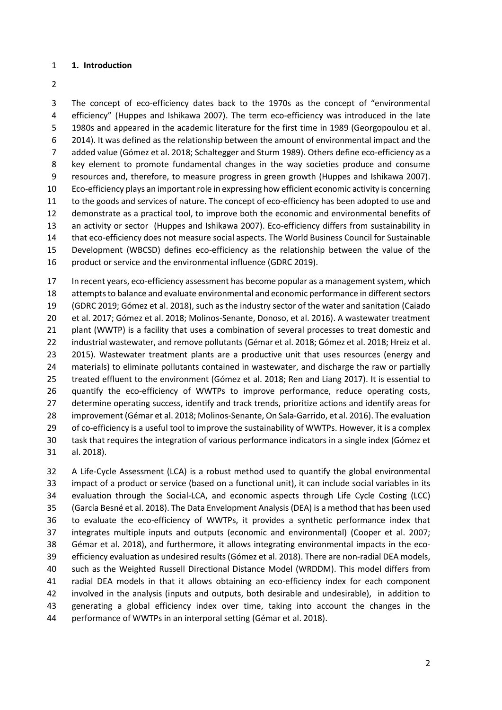#### **1. Introduction**

 The concept of eco-efficiency dates back to the 1970s as the concept of "environmental efficiency" (Huppes and Ishikawa 2007). The term eco-efficiency was introduced in the late 1980s and appeared in the academic literature for the first time in 1989 (Georgopoulou et al. 2014). It was defined as the relationship between the amount of environmental impact and the added value (Gómez et al. 2018; Schaltegger and Sturm 1989). Others define eco-efficiency as a key element to promote fundamental changes in the way societies produce and consume resources and, therefore, to measure progress in green growth (Huppes and Ishikawa 2007). Eco-efficiency plays an important role in expressing how efficient economic activity is concerning to the goods and services of nature. The concept of eco-efficiency has been adopted to use and demonstrate as a practical tool, to improve both the economic and environmental benefits of an activity or sector (Huppes and Ishikawa 2007). Eco-efficiency differs from sustainability in that eco-efficiency does not measure social aspects. The World Business Council for Sustainable Development (WBCSD) defines eco-efficiency as the relationship between the value of the 16 product or service and the environmental influence (GDRC 2019).

 In recent years, eco-efficiency assessment has become popular as a management system, which attempts to balance and evaluate environmental and economic performance in different sectors (GDRC 2019; Gómez et al. 2018), such as the industry sector of the water and sanitation (Caiado et al. 2017; Gómez et al. 2018; Molinos-Senante, Donoso, et al. 2016). A wastewater treatment plant (WWTP) is a facility that uses a combination of several processes to treat domestic and industrial wastewater, and remove pollutants (Gémar et al. 2018; Gómez et al. 2018; Hreiz et al. 2015). Wastewater treatment plants are a productive unit that uses resources (energy and materials) to eliminate pollutants contained in wastewater, and discharge the raw or partially treated effluent to the environment (Gómez et al. 2018; Ren and Liang 2017). It is essential to quantify the eco-efficiency of WWTPs to improve performance, reduce operating costs, 27 determine operating success, identify and track trends, prioritize actions and identify areas for improvement (Gémar et al. 2018; Molinos-Senante, On Sala-Garrido, et al. 2016). The evaluation of co-efficiency is a useful tool to improve the sustainability of WWTPs. However, it is a complex task that requires the integration of various performance indicators in a single index (Gómez et al. 2018).

 A Life-Cycle Assessment (LCA) is a robust method used to quantify the global environmental impact of a product or service (based on a functional unit), it can include social variables in its evaluation through the Social-LCA, and economic aspects through Life Cycle Costing (LCC) (García Besné et al. 2018). The Data Envelopment Analysis (DEA) is a method that has been used to evaluate the eco-efficiency of WWTPs, it provides a synthetic performance index that integrates multiple inputs and outputs (economic and environmental) (Cooper et al. 2007; Gémar et al. 2018), and furthermore, it allows integrating environmental impacts in the eco- efficiency evaluation as undesired results(Gómez et al. 2018). There are non-radial DEA models, such as the Weighted Russell Directional Distance Model (WRDDM). This model differs from radial DEA models in that it allows obtaining an eco-efficiency index for each component involved in the analysis (inputs and outputs, both desirable and undesirable), in addition to generating a global efficiency index over time, taking into account the changes in the performance of WWTPs in an interporal setting (Gémar et al. 2018).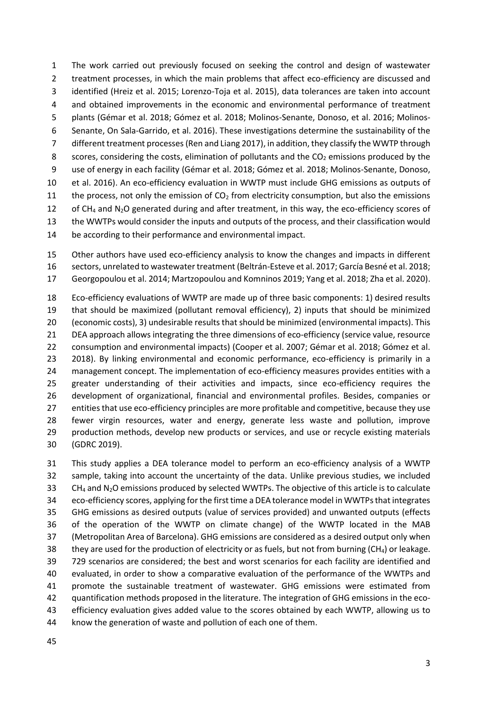The work carried out previously focused on seeking the control and design of wastewater 2 treatment processes, in which the main problems that affect eco-efficiency are discussed and identified (Hreiz et al. 2015; Lorenzo-Toja et al. 2015), data tolerances are taken into account and obtained improvements in the economic and environmental performance of treatment plants (Gémar et al. 2018; Gómez et al. 2018; Molinos-Senante, Donoso, et al. 2016; Molinos- Senante, On Sala-Garrido, et al. 2016). These investigations determine the sustainability of the different treatment processes(Ren and Liang 2017), in addition, they classify the WWTP through 8 scores, considering the costs, elimination of pollutants and the  $CO<sub>2</sub>$  emissions produced by the use of energy in each facility (Gémar et al. 2018; Gómez et al. 2018; Molinos-Senante, Donoso, et al. 2016). An eco-efficiency evaluation in WWTP must include GHG emissions as outputs of 11 the process, not only the emission of  $CO<sub>2</sub>$  from electricity consumption, but also the emissions 12 of CH<sub>4</sub> and N<sub>2</sub>O generated during and after treatment, in this way, the eco-efficiency scores of the WWTPs would consider the inputs and outputs of the process, and their classification would

be according to their performance and environmental impact.

 Other authors have used eco-efficiency analysis to know the changes and impacts in different sectors, unrelated to wastewater treatment (Beltrán-Esteve et al. 2017; García Besné et al. 2018; Georgopoulou et al. 2014; Martzopoulou and Komninos 2019; Yang et al. 2018; Zha et al. 2020).

 Eco-efficiency evaluations of WWTP are made up of three basic components: 1) desired results that should be maximized (pollutant removal efficiency), 2) inputs that should be minimized (economic costs), 3) undesirable results that should be minimized (environmental impacts). This DEA approach allows integrating the three dimensions of eco-efficiency (service value, resource consumption and environmental impacts) (Cooper et al. 2007; Gémar et al. 2018; Gómez et al. 2018). By linking environmental and economic performance, eco-efficiency is primarily in a management concept. The implementation of eco-efficiency measures provides entities with a greater understanding of their activities and impacts, since eco-efficiency requires the development of organizational, financial and environmental profiles. Besides, companies or entities that use eco-efficiency principles are more profitable and competitive, because they use fewer virgin resources, water and energy, generate less waste and pollution, improve 29 production methods, develop new products or services, and use or recycle existing materials (GDRC 2019).

 This study applies a DEA tolerance model to perform an eco-efficiency analysis of a WWTP sample, taking into account the uncertainty of the data. Unlike previous studies, we included 33 CH<sub>4</sub> and N<sub>2</sub>O emissions produced by selected WWTPs. The objective of this article is to calculate eco-efficiency scores, applying for the first time a DEA tolerance model in WWTPs that integrates GHG emissions as desired outputs (value of services provided) and unwanted outputs (effects of the operation of the WWTP on climate change) of the WWTP located in the MAB (Metropolitan Area of Barcelona). GHG emissions are considered as a desired output only when 38 they are used for the production of electricity or as fuels, but not from burning  $(CH_4)$  or leakage. 729 scenarios are considered; the best and worst scenarios for each facility are identified and evaluated, in order to show a comparative evaluation of the performance of the WWTPs and promote the sustainable treatment of wastewater. GHG emissions were estimated from quantification methods proposed in the literature. The integration of GHG emissions in the eco- efficiency evaluation gives added value to the scores obtained by each WWTP, allowing us to know the generation of waste and pollution of each one of them.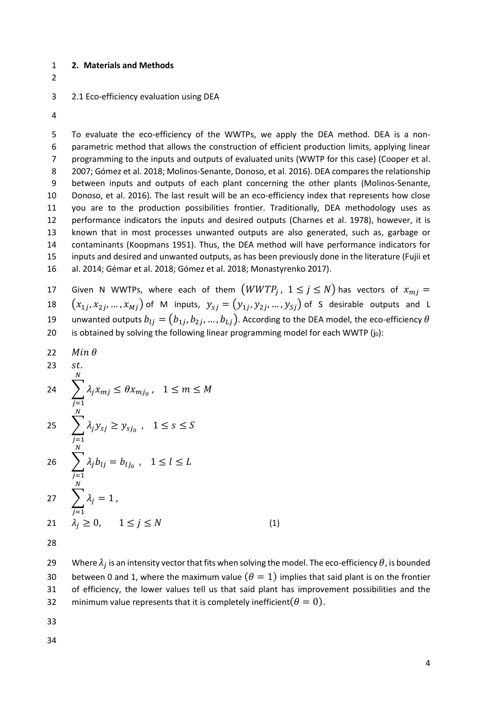#### 1 **2. Materials and Methods**

2

#### 3 2.1 Eco-efficiency evaluation using DEA

4

 To evaluate the eco-efficiency of the WWTPs, we apply the DEA method. DEA is a non- parametric method that allows the construction of efficient production limits, applying linear programming to the inputs and outputs of evaluated units (WWTP for this case) (Cooper et al. 2007; Gómez et al. 2018; Molinos-Senante, Donoso, et al. 2016). DEA compares the relationship between inputs and outputs of each plant concerning the other plants (Molinos-Senante, Donoso, et al. 2016). The last result will be an eco-efficiency index that represents how close you are to the production possibilities frontier. Traditionally, DEA methodology uses as performance indicators the inputs and desired outputs (Charnes et al. 1978), however, it is known that in most processes unwanted outputs are also generated, such as, garbage or contaminants (Koopmans 1951). Thus, the DEA method will have performance indicators for inputs and desired and unwanted outputs, as has been previously done in the literature (Fujii et al. 2014; Gémar et al. 2018; Gómez et al. 2018; Monastyrenko 2017).

17 Given N WWTPs, where each of them  $(WWTP_j, 1 \le j \le N)$  has vectors of  $x_{mi} =$ 18  $(x_{1j}, x_{2j},..., x_{Mj})$  of M inputs,  $y_{sj}=(y_{1j}, y_{2j},..., y_{Sj})$  of S desirable outputs and L 19 anwanted outputs  $b_{lj}=(b_{1j},b_{2j},...,b_{Lj})$ . According to the DEA model, the eco-efficiency  $\theta$ 20 is obtained by solving the following linear programming model for each WWTP  $(j_0)$ :

22  $Min \theta$ 

N

- $23$   $st.$  $\sum_{i} \lambda_i x_{m} \leq \theta x_{m}$ ,  $1 \leq m \leq M$ N  $j=1$ 24  $\sum_{j} \lambda_j y_{sj} \geq y_{sj_0}$ ,  $1 \leq s \leq S$ N  $j=1$ 25
- $\sum_{i} \lambda_{j} b_{lj} = b_{lj_0}$ ,  $1 \leq l \leq L$  $j=1$ 26  $\sum_{j}$ N  $j=1$ 27  $\lambda_i = 1$ , 21  $\lambda_i \ge 0$ ,  $1 \le j \le N$  (1)
- 28

29 Where  $\lambda_i$  is an intensity vector that fits when solving the model. The eco-efficiency  $\theta$ , is bounded 30 between 0 and 1, where the maximum value  $(\theta = 1)$  implies that said plant is on the frontier 31 of efficiency, the lower values tell us that said plant has improvement possibilities and the 32 minimum value represents that it is completely inefficient  $(\theta = 0)$ .

- 33
- 34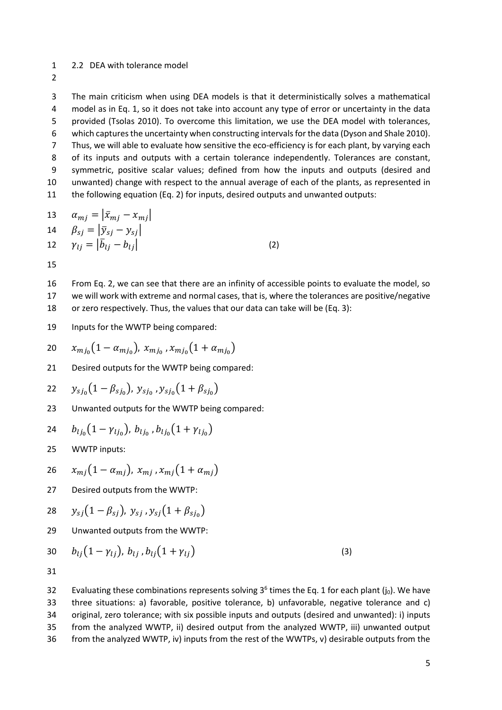#### 2.2 DEA with tolerance model

 The main criticism when using DEA models is that it deterministically solves a mathematical model as in Eq. 1, so it does not take into account any type of error or uncertainty in the data provided (Tsolas 2010). To overcome this limitation, we use the DEA model with tolerances, which captures the uncertainty when constructing intervals for the data (Dyson and Shale 2010). Thus, we will able to evaluate how sensitive the eco-efficiency is for each plant, by varying each 8 of its inputs and outputs with a certain tolerance independently. Tolerances are constant, symmetric, positive scalar values; defined from how the inputs and outputs (desired and unwanted) change with respect to the annual average of each of the plants, as represented in the following equation (Eq. 2) for inputs, desired outputs and unwanted outputs:

13 
$$
\alpha_{mj} = |\bar{x}_{mj} - x_{mj}|
$$
  
\n14 
$$
\beta_{sj} = |\bar{y}_{sj} - y_{sj}|
$$
  
\n12 
$$
\gamma_{lj} = |\bar{b}_{lj} - b_{lj}|
$$
\n(2)

 From Eq. 2, we can see that there are an infinity of accessible points to evaluate the model, so we will work with extreme and normal cases, that is, where the tolerances are positive/negative or zero respectively. Thus, the values that our data can take will be (Eq. 3):

Inputs for the WWTP being compared:

$$
20 \t x_{m j_0} (1 - \alpha_{m j_0}), \, x_{m j_0}, x_{m j_0} (1 + \alpha_{m j_0})
$$

Desired outputs for the WWTP being compared:

22 
$$
y_{s j_0} (1 - \beta_{s j_0}), y_{s j_0}, y_{s j_0} (1 + \beta_{s j_0})
$$

Unwanted outputs for the WWTP being compared:

24 
$$
b_{l j_0} (1 - \gamma_{l j_0}), b_{l j_0}, b_{l j_0} (1 + \gamma_{l j_0})
$$

WWTP inputs:

$$
26 \quad x_{mj}(1-\alpha_{mj}),\, x_{mj}, x_{mj}(1+\alpha_{mj})
$$

Desired outputs from the WWTP:

28 
$$
y_{sj}(1 - \beta_{sj}), y_{sj}, y_{sj}(1 + \beta_{sj_0})
$$

Unwanted outputs from the WWTP:

30 
$$
b_{lj}(1 - \gamma_{lj}), b_{lj}, b_{lj}(1 + \gamma_{lj})
$$
 (3)

32 Evaluating these combinations represents solving  $3^6$  times the Eq. 1 for each plant (j<sub>0</sub>). We have three situations: a) favorable, positive tolerance, b) unfavorable, negative tolerance and c) original, zero tolerance; with six possible inputs and outputs (desired and unwanted): i) inputs from the analyzed WWTP, ii) desired output from the analyzed WWTP, iii) unwanted output from the analyzed WWTP, iv) inputs from the rest of the WWTPs, v) desirable outputs from the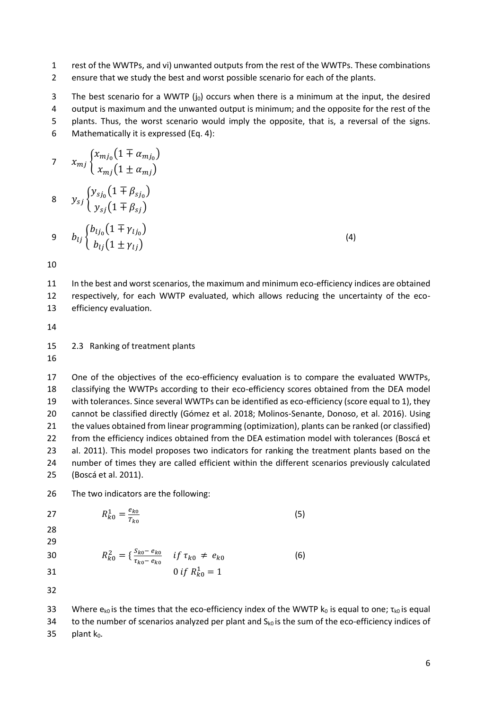- rest of the WWTPs, and vi) unwanted outputs from the rest of the WWTPs. These combinations
- ensure that we study the best and worst possible scenario for each of the plants.

3 The best scenario for a WWTP  $(j_0)$  occurs when there is a minimum at the input, the desired output is maximum and the unwanted output is minimum; and the opposite for the rest of the plants. Thus, the worst scenario would imply the opposite, that is, a reversal of the signs. Mathematically it is expressed (Eq. 4):

7 
$$
x_{mj} \begin{cases} x_{mj_0} (1 \mp \alpha_{mj_0}) \\ x_{mj} (1 \pm \alpha_{mj}) \end{cases}
$$
  
\n8  $y_{sj} \begin{cases} y_{sj_0} (1 \mp \beta_{sj_0}) \\ y_{sj} (1 \mp \beta_{sj}) \end{cases}$   
\n9  $b_{lj} \begin{cases} b_{lj_0} (1 \mp \gamma_{lj_0}) \\ b_{lj} (1 \pm \gamma_{lj}) \end{cases}$  (4)

 In the best and worst scenarios, the maximum and minimum eco-efficiency indices are obtained respectively, for each WWTP evaluated, which allows reducing the uncertainty of the eco-efficiency evaluation.

2.3 Ranking of treatment plants

 One of the objectives of the eco-efficiency evaluation is to compare the evaluated WWTPs, classifying the WWTPs according to their eco-efficiency scores obtained from the DEA model with tolerances. Since several WWTPs can be identified as eco-efficiency (score equal to 1), they cannot be classified directly (Gómez et al. 2018; Molinos-Senante, Donoso, et al. 2016). Using the values obtained from linear programming (optimization), plants can be ranked (or classified) from the efficiency indices obtained from the DEA estimation model with tolerances (Boscá et al. 2011). This model proposes two indicators for ranking the treatment plants based on the number of times they are called efficient within the different scenarios previously calculated (Boscá et al. 2011).

The two indicators are the following:

 $R_{k0}^2 = \frac{S_{k0} - e_{k0}}{\tau_{k0} - e_{k0}}$ 

 $R_{k0}^1 = \frac{e_{k0}}{T_{k0}}$ 

27  $R_{k0}^1 = \frac{c_{k0}}{T_{k0}}$  (5) 

$$
\frac{28}{22}
$$

30 
$$
R_{k0}^2 = \left\{ \frac{s_{k0} - e_{k0}}{\tau_{k0} - e_{k0}} \quad \text{if } \tau_{k0} \neq e_{k0} \right\}
$$
 (6)

31  $0 \text{ if } R_{k0}^1 = 1$ 

33 Where  $e_{k0}$  is the times that the eco-efficiency index of the WWTP  $k_0$  is equal to one;  $\tau_{k0}$  is equal 34 to the number of scenarios analyzed per plant and  $S_{k0}$  is the sum of the eco-efficiency indices of 35 plant  $k_0$ .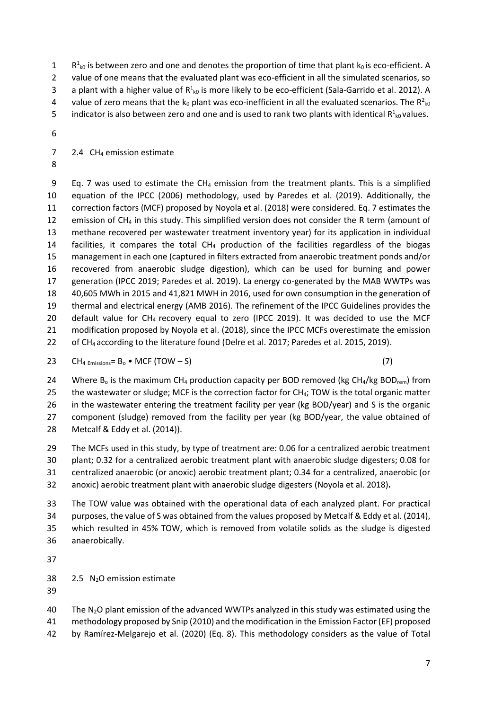R<sup>1</sup><sub>k0</sub> is between zero and one and denotes the proportion of time that plant k<sub>0</sub> is eco-efficient. A 2 value of one means that the evaluated plant was eco-efficient in all the simulated scenarios, so 3 a plant with a higher value of  $R^1_{k0}$  is more likely to be eco-efficient (Sala-Garrido et al. 2012). A 4 value of zero means that the  $k_0$  plant was eco-inefficient in all the evaluated scenarios. The R<sup>2</sup><sub>k0</sub>

5 indicator is also between zero and one and is used to rank two plants with identical  $R_{k0}^1$  values.

7 2.4  $CH_4$  emission estimate

9 Eq. 7 was used to estimate the CH<sub>4</sub> emission from the treatment plants. This is a simplified equation of the IPCC (2006) methodology, used by Paredes et al. (2019). Additionally, the correction factors (MCF) proposed by Noyola et al. (2018) were considered. Eq. 7 estimates the 12 emission of  $CH_4$  in this study. This simplified version does not consider the R term (amount of methane recovered per wastewater treatment inventory year) for its application in individual 14 facilities, it compares the total  $CH<sub>4</sub>$  production of the facilities regardless of the biogas management in each one (captured in filters extracted from anaerobic treatment ponds and/or recovered from anaerobic sludge digestion), which can be used for burning and power generation (IPCC 2019; Paredes et al. 2019). La energy co-generated by the MAB WWTPs was 40,605 MWh in 2015 and 41,821 MWH in 2016, used for own consumption in the generation of thermal and electrical energy (AMB 2016). The refinement of the IPCC Guidelines provides the 20 default value for  $CH_4$  recovery equal to zero (IPCC 2019). It was decided to use the MCF modification proposed by Noyola et al. (2018), since the IPCC MCFs overestimate the emission of CH4 according to the literature found (Delre et al. 2017; Paredes et al. 2015, 2019).

23 CH<sub>4 Emissions</sub>=  $B_0 \bullet MCF$  (TOW  $- S$ ) (7)

24 Where B<sub>o</sub> is the maximum CH<sub>4</sub> production capacity per BOD removed (kg CH<sub>4</sub>/kg BOD<sub>rem</sub>) from 25 the wastewater or sludge; MCF is the correction factor for  $CH_4$ ; TOW is the total organic matter in the wastewater entering the treatment facility per year (kg BOD/year) and S is the organic component (sludge) removed from the facility per year (kg BOD/year, the value obtained of Metcalf & Eddy et al. (2014)).

 The MCFs used in this study, by type of treatment are: 0.06 for a centralized aerobic treatment plant; 0.32 for a centralized aerobic treatment plant with anaerobic sludge digesters; 0.08 for centralized anaerobic (or anoxic) aerobic treatment plant; 0.34 for a centralized, anaerobic (or anoxic) aerobic treatment plant with anaerobic sludge digesters (Noyola et al. 2018)**.**

 The TOW value was obtained with the operational data of each analyzed plant. For practical purposes, the value of S was obtained from the values proposed by Metcalf & Eddy et al. (2014), which resulted in 45% TOW, which is removed from volatile solids as the sludge is digested anaerobically.

2.5 N2O emission estimate

40 The  $N_2O$  plant emission of the advanced WWTPs analyzed in this study was estimated using the methodology proposed by Snip (2010) and the modification in the Emission Factor (EF) proposed by Ramírez-Melgarejo et al. (2020) (Eq. 8). This methodology considers as the value of Total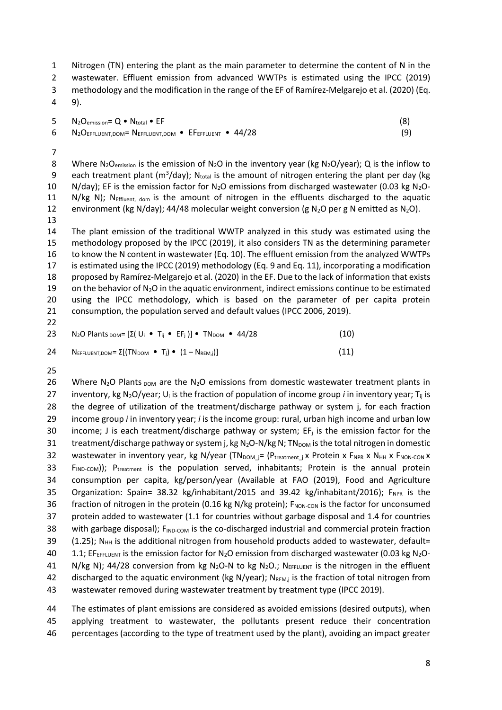1 Nitrogen (TN) entering the plant as the main parameter to determine the content of N in the 2 wastewater. Effluent emission from advanced WWTPs is estimated using the IPCC (2019) 3 methodology and the modification in the range of the EF of Ramírez-Melgarejo et al. (2020) (Eq.

4 9).

| 5 $N_2O_{emission} = Q \cdot N_{total} \cdot EF$          |     |
|-----------------------------------------------------------|-----|
| 6 $N_2O$ EFFLUENT,DOM= NEFFLUENT,DOM • EFEFFLUENT • 44/28 | (9) |

7

8 Where N<sub>2</sub>O<sub>emission</sub> is the emission of N<sub>2</sub>O in the inventory year (kg N<sub>2</sub>O/year); Q is the inflow to 9 each treatment plant ( $m^3$ /day); N<sub>total</sub> is the amount of nitrogen entering the plant per day (kg 10 N/day); EF is the emission factor for  $N_2O$  emissions from discharged wastewater (0.03 kg  $N_2O$ -11 N/kg N); NEffluent, dom is the amount of nitrogen in the effluents discharged to the aquatic 12 environment (kg N/day); 44/48 molecular weight conversion (g N<sub>2</sub>O per g N emitted as N<sub>2</sub>O). 13

 The plant emission of the traditional WWTP analyzed in this study was estimated using the methodology proposed by the IPCC (2019), it also considers TN as the determining parameter to know the N content in wastewater (Eq. 10). The effluent emission from the analyzed WWTPs is estimated using the IPCC (2019) methodology (Eq. 9 and Eq. 11), incorporating a modification proposed by Ramírez-Melgarejo et al. (2020) in the EF. Due to the lack of information that exists 19 on the behavior of  $N_2O$  in the aquatic environment, indirect emissions continue to be estimated using the IPCC methodology, which is based on the parameter of per capita protein consumption, the population served and default values (IPCC 2006, 2019). 22

| 23. | N <sub>2</sub> O Plants <sub>DOM</sub> = $[\Sigma(\bigcup_i \bullet T_{ij} \bullet EF_i)] \bullet TN_{DOM} \bullet 44/28$ |  |  | (10) |
|-----|---------------------------------------------------------------------------------------------------------------------------|--|--|------|
|     |                                                                                                                           |  |  |      |

$$
24 \qquad \text{Neffluent, dom} = \Sigma[(\text{TN}_{\text{DOM}} \cdot \text{T}_j) \cdot (1 - \text{N}_{\text{REM},j})]
$$
\n(11)

25

26 Where N<sub>2</sub>O Plants <sub>DOM</sub> are the N<sub>2</sub>O emissions from domestic wastewater treatment plants in 27 inventory, kg N<sub>2</sub>O/year; U<sub>i</sub> is the fraction of population of income group *i* in inventory year; T<sub>ii</sub> is 28 the degree of utilization of the treatment/discharge pathway or system j, for each fraction 29 income group *i* in inventory year; *i* is the income group: rural, urban high income and urban low 30 income; J is each treatment/discharge pathway or system;  $EF_i$  is the emission factor for the 31 treatment/discharge pathway or system j, kg N<sub>2</sub>O-N/kg N; TN<sub>DOM</sub> is the total nitrogen in domestic 32 wastewater in inventory year, kg N/year (TN<sub>DOM j</sub>= (P<sub>treatment j</sub> x Protein x F<sub>NPR</sub> x N<sub>HH</sub> x F<sub>NON-CON</sub> x 33 F<sub>IND-COM</sub>)); P<sub>treatment</sub> is the population served, inhabitants; Protein is the annual protein 34 consumption per capita, kg/person/year (Available at FAO (2019), Food and Agriculture 35 Organization: Spain= 38.32 kg/inhabitant/2015 and 39.42 kg/inhabitant/2016);  $F_{NPR}$  is the 36 fraction of nitrogen in the protein (0.16 kg N/kg protein);  $F_{\text{NON-CON}}$  is the factor for unconsumed 37 protein added to wastewater (1.1 for countries without garbage disposal and 1.4 for countries 38 with garbage disposal);  $F_{\text{IND-COM}}$  is the co-discharged industrial and commercial protein fraction 39  $(1.25)$ ; N<sub>HH</sub> is the additional nitrogen from household products added to wastewater, default= 40 1.1; EFEFFLUENT is the emission factor for  $N_2O$  emission from discharged wastewater (0.03 kg  $N_2O$ -41 N/kg N); 44/28 conversion from kg N<sub>2</sub>O-N to kg N<sub>2</sub>O.; N<sub>EFFLUENT</sub> is the nitrogen in the effluent 42 discharged to the aquatic environment (kg N/year); NREM,j is the fraction of total nitrogen from 43 wastewater removed during wastewater treatment by treatment type (IPCC 2019).

44 The estimates of plant emissions are considered as avoided emissions (desired outputs), when 45 applying treatment to wastewater, the pollutants present reduce their concentration 46 percentages (according to the type of treatment used by the plant), avoiding an impact greater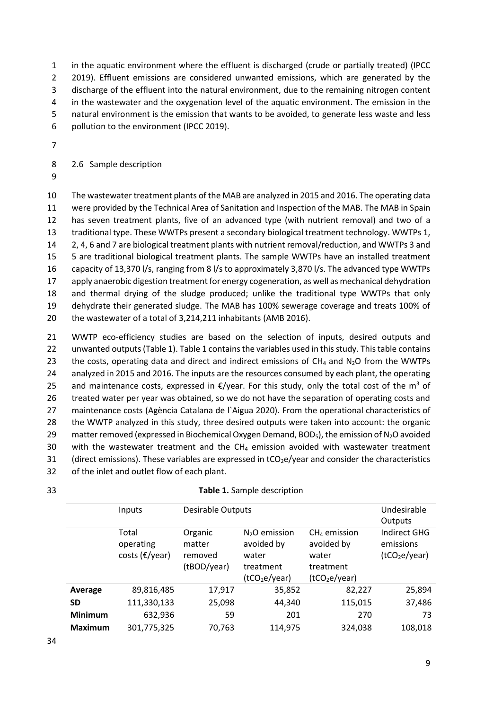in the aquatic environment where the effluent is discharged (crude or partially treated) (IPCC 2 2019). Effluent emissions are considered unwanted emissions, which are generated by the discharge of the effluent into the natural environment, due to the remaining nitrogen content 4 in the wastewater and the oxygenation level of the aquatic environment. The emission in the natural environment is the emission that wants to be avoided, to generate less waste and less pollution to the environment (IPCC 2019).

7

8 2.6 Sample description

9

 The wastewater treatment plants of the MAB are analyzed in 2015 and 2016. The operating data were provided by the Technical Area of Sanitation and Inspection of the MAB. The MAB in Spain has seven treatment plants, five of an advanced type (with nutrient removal) and two of a traditional type. These WWTPs present a secondary biological treatment technology. WWTPs 1, 2, 4, 6 and 7 are biological treatment plants with nutrient removal/reduction, and WWTPs 3 and 5 are traditional biological treatment plants. The sample WWTPs have an installed treatment capacity of 13,370 l/s, ranging from 8 l/s to approximately 3,870 l/s. The advanced type WWTPs apply anaerobic digestion treatment for energy cogeneration, as well as mechanical dehydration and thermal drying of the sludge produced; unlike the traditional type WWTPs that only dehydrate their generated sludge. The MAB has 100% sewerage coverage and treats 100% of the wastewater of a total of 3,214,211 inhabitants (AMB 2016).

21 WWTP eco-efficiency studies are based on the selection of inputs, desired outputs and 22 unwanted outputs (Table 1). Table 1 contains the variables used in this study. This table contains 23 the costs, operating data and direct and indirect emissions of  $CH_4$  and  $N_2O$  from the WWTPs 24 analyzed in 2015 and 2016. The inputs are the resources consumed by each plant, the operating 25 and maintenance costs, expressed in  $€$ /year. For this study, only the total cost of the m<sup>3</sup> of 26 treated water per year was obtained, so we do not have the separation of operating costs and 27 maintenance costs (Agència Catalana de l'Aigua 2020). From the operational characteristics of 28 the WWTP analyzed in this study, three desired outputs were taken into account: the organic 29 matter removed (expressed in Biochemical Oxygen Demand,  $BOD<sub>5</sub>$ ), the emission of N<sub>2</sub>O avoided 30 with the wastewater treatment and the  $CH_4$  emission avoided with wastewater treatment 31 (direct emissions). These variables are expressed in  $tCO<sub>2</sub>e/year$  and consider the characteristics 32 of the inlet and outlet flow of each plant.

33 **Table 1.** Sample description

|                | Inputs                               | Desirable Outputs                           | Undesirable<br>Outputs                                                          |                                                                                 |                                                        |
|----------------|--------------------------------------|---------------------------------------------|---------------------------------------------------------------------------------|---------------------------------------------------------------------------------|--------------------------------------------------------|
|                | Total<br>operating<br>costs (€/year) | Organic<br>matter<br>removed<br>(tBOD/year) | $N2O$ emission<br>avoided by<br>water<br>treatment<br>(tCO <sub>2</sub> e/year) | $CH4$ emission<br>avoided by<br>water<br>treatment<br>(tCO <sub>2</sub> e/year) | Indirect GHG<br>emissions<br>(tCO <sub>2</sub> e/year) |
| Average        | 89,816,485                           | 17,917                                      | 35,852                                                                          | 82,227                                                                          | 25,894                                                 |
| <b>SD</b>      | 111,330,133                          | 25,098                                      | 44,340                                                                          | 115,015                                                                         | 37,486                                                 |
| <b>Minimum</b> | 632,936                              | 59                                          | 201                                                                             | 270                                                                             | 73                                                     |
| <b>Maximum</b> | 301,775,325                          | 70,763                                      | 114,975                                                                         | 324,038                                                                         | 108,018                                                |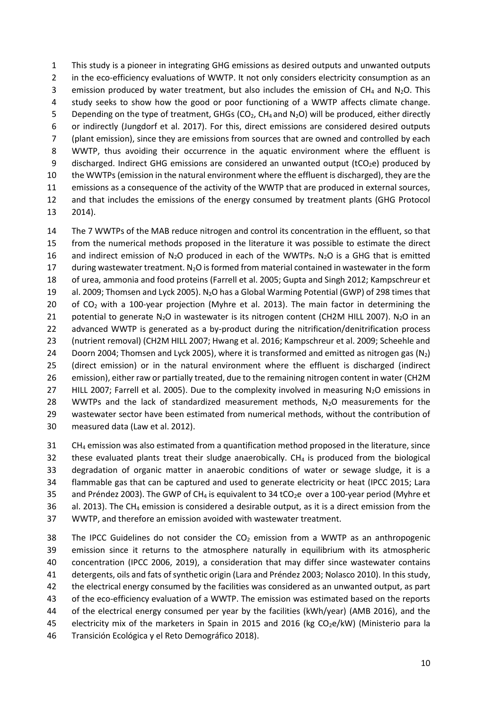This study is a pioneer in integrating GHG emissions as desired outputs and unwanted outputs 2 in the eco-efficiency evaluations of WWTP. It not only considers electricity consumption as an 3 emission produced by water treatment, but also includes the emission of  $CH_4$  and N<sub>2</sub>O. This study seeks to show how the good or poor functioning of a WWTP affects climate change. 5 Depending on the type of treatment, GHGs ( $CO<sub>2</sub>$ , CH<sub>4</sub> and N<sub>2</sub>O) will be produced, either directly or indirectly (Jungdorf et al. 2017). For this, direct emissions are considered desired outputs (plant emission), since they are emissions from sources that are owned and controlled by each WWTP, thus avoiding their occurrence in the aquatic environment where the effluent is 9 discharged. Indirect GHG emissions are considered an unwanted output (tCO<sub>2</sub>e) produced by the WWTPs (emission in the natural environment where the effluent is discharged), they are the emissions as a consequence of the activity of the WWTP that are produced in external sources, and that includes the emissions of the energy consumed by treatment plants (GHG Protocol 13 2014).

14 The 7 WWTPs of the MAB reduce nitrogen and control its concentration in the effluent, so that 15 from the numerical methods proposed in the literature it was possible to estimate the direct 16 and indirect emission of  $N_2O$  produced in each of the WWTPs.  $N_2O$  is a GHG that is emitted 17 during wastewater treatment.  $N_2O$  is formed from material contained in wastewater in the form 18 of urea, ammonia and food proteins (Farrell et al. 2005; Gupta and Singh 2012; Kampschreur et 19 al. 2009; Thomsen and Lyck 2005). N<sub>2</sub>O has a Global Warming Potential (GWP) of 298 times that 20 of  $CO<sub>2</sub>$  with a 100-year projection (Myhre et al. 2013). The main factor in determining the 21 potential to generate N<sub>2</sub>O in wastewater is its nitrogen content (CH2M HILL 2007). N<sub>2</sub>O in an 22 advanced WWTP is generated as a by-product during the nitrification/denitrification process 23 (nutrient removal) (CH2M HILL 2007; Hwang et al. 2016; Kampschreur et al. 2009; Scheehle and 24 Doorn 2004; Thomsen and Lyck 2005), where it is transformed and emitted as nitrogen gas  $(N_2)$ 25 (direct emission) or in the natural environment where the effluent is discharged (indirect 26 emission), either raw or partially treated, due to the remaining nitrogen content in water (CH2M 27 HILL 2007; Farrell et al. 2005). Due to the complexity involved in measuring  $N_2O$  emissions in 28 WWTPs and the lack of standardized measurement methods,  $N_2O$  measurements for the 29 wastewater sector have been estimated from numerical methods, without the contribution of 30 measured data (Law et al. 2012).

31 CH<sub>4</sub> emission was also estimated from a quantification method proposed in the literature, since 32 these evaluated plants treat their sludge anaerobically.  $CH<sub>4</sub>$  is produced from the biological 33 degradation of organic matter in anaerobic conditions of water or sewage sludge, it is a 34 flammable gas that can be captured and used to generate electricity or heat (IPCC 2015; Lara 35 and Préndez 2003). The GWP of CH<sub>4</sub> is equivalent to 34 tCO<sub>2</sub>e over a 100-year period (Myhre et 36 al. 2013). The CH<sub>4</sub> emission is considered a desirable output, as it is a direct emission from the 37 WWTP, and therefore an emission avoided with wastewater treatment.

38 The IPCC Guidelines do not consider the  $CO<sub>2</sub>$  emission from a WWTP as an anthropogenic emission since it returns to the atmosphere naturally in equilibrium with its atmospheric concentration (IPCC 2006, 2019), a consideration that may differ since wastewater contains detergents, oils and fats of synthetic origin (Lara and Préndez 2003; Nolasco 2010). In this study, the electrical energy consumed by the facilities was considered as an unwanted output, as part of the eco-efficiency evaluation of a WWTP. The emission was estimated based on the reports of the electrical energy consumed per year by the facilities (kWh/year) (AMB 2016), and the 45 electricity mix of the marketers in Spain in 2015 and 2016 (kg  $CO<sub>2</sub>e/kW$ ) (Ministerio para la Transición Ecológica y el Reto Demográfico 2018).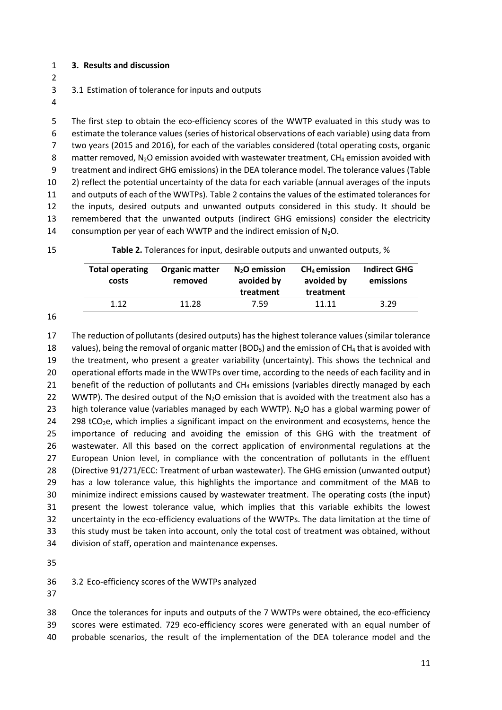- **3. Results and discussion**
- 
- 3.1 Estimation of tolerance for inputs and outputs
- 

 The first step to obtain the eco-efficiency scores of the WWTP evaluated in this study was to estimate the tolerance values (series of historical observations of each variable) using data from two years (2015 and 2016), for each of the variables considered (total operating costs, organic 8 matter removed,  $N_2O$  emission avoided with wastewater treatment,  $CH_4$  emission avoided with treatment and indirect GHG emissions) in the DEA tolerance model. The tolerance values (Table 2) reflect the potential uncertainty of the data for each variable (annual averages of the inputs and outputs of each of the WWTPs). Table 2 contains the values of the estimated tolerances for the inputs, desired outputs and unwanted outputs considered in this study. It should be remembered that the unwanted outputs (indirect GHG emissions) consider the electricity 14 consumption per year of each WWTP and the indirect emission of  $N_2O$ .

**Table 2.** Tolerances for input, desirable outputs and unwanted outputs, %

| <b>Total operating</b><br>costs | <b>Organic matter</b><br>removed | $N2O$ emission<br>avoided by<br>treatment | $CH4$ emission<br>avoided by<br>treatment | <b>Indirect GHG</b><br>emissions |
|---------------------------------|----------------------------------|-------------------------------------------|-------------------------------------------|----------------------------------|
| 1.12                            | 11.28                            | 7.59                                      | 11.11                                     | 3.29                             |

 The reduction of pollutants (desired outputs) has the highest tolerance values (similar tolerance 18 values), being the removal of organic matter (BOD<sub>5</sub>) and the emission of CH<sub>4</sub> that is avoided with the treatment, who present a greater variability (uncertainty). This shows the technical and operational efforts made in the WWTPs over time, according to the needs of each facility and in 21 benefit of the reduction of pollutants and  $CH_4$  emissions (variables directly managed by each 22 WWTP). The desired output of the  $N_2O$  emission that is avoided with the treatment also has a 23 high tolerance value (variables managed by each WWTP). N<sub>2</sub>O has a global warming power of 24 298 tCO<sub>2</sub>e, which implies a significant impact on the environment and ecosystems, hence the importance of reducing and avoiding the emission of this GHG with the treatment of wastewater. All this based on the correct application of environmental regulations at the European Union level, in compliance with the concentration of pollutants in the effluent (Directive 91/271/ECC: Treatment of urban wastewater). The GHG emission (unwanted output) has a low tolerance value, this highlights the importance and commitment of the MAB to minimize indirect emissions caused by wastewater treatment. The operating costs (the input) present the lowest tolerance value, which implies that this variable exhibits the lowest uncertainty in the eco-efficiency evaluations of the WWTPs. The data limitation at the time of this study must be taken into account, only the total cost of treatment was obtained, without division of staff, operation and maintenance expenses.

3.2 Eco-efficiency scores of the WWTPs analyzed

 Once the tolerances for inputs and outputs of the 7 WWTPs were obtained, the eco-efficiency scores were estimated. 729 eco-efficiency scores were generated with an equal number of probable scenarios, the result of the implementation of the DEA tolerance model and the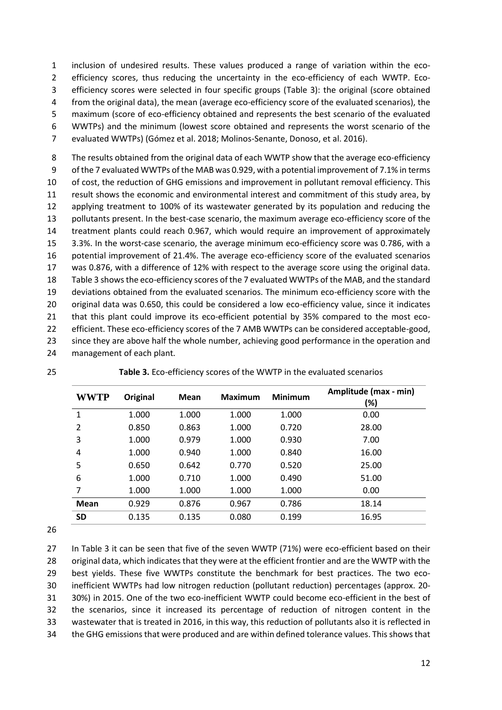inclusion of undesired results. These values produced a range of variation within the eco- efficiency scores, thus reducing the uncertainty in the eco-efficiency of each WWTP. Eco- efficiency scores were selected in four specific groups (Table 3): the original (score obtained from the original data), the mean (average eco-efficiency score of the evaluated scenarios), the maximum (score of eco-efficiency obtained and represents the best scenario of the evaluated WWTPs) and the minimum (lowest score obtained and represents the worst scenario of the evaluated WWTPs) (Gómez et al. 2018; Molinos-Senante, Donoso, et al. 2016).

 The results obtained from the original data of each WWTP show that the average eco-efficiency of the 7 evaluated WWTPs of the MAB was 0.929, with a potential improvement of 7.1% in terms of cost, the reduction of GHG emissions and improvement in pollutant removal efficiency. This result shows the economic and environmental interest and commitment of this study area, by applying treatment to 100% of its wastewater generated by its population and reducing the pollutants present. In the best-case scenario, the maximum average eco-efficiency score of the treatment plants could reach 0.967, which would require an improvement of approximately 3.3%. In the worst-case scenario, the average minimum eco-efficiency score was 0.786, with a potential improvement of 21.4%. The average eco-efficiency score of the evaluated scenarios was 0.876, with a difference of 12% with respect to the average score using the original data. Table 3 shows the eco-efficiency scores of the 7 evaluated WWTPs of the MAB, and the standard deviations obtained from the evaluated scenarios. The minimum eco-efficiency score with the 20 original data was 0.650, this could be considered a low eco-efficiency value, since it indicates that this plant could improve its eco-efficient potential by 35% compared to the most eco- efficient. These eco-efficiency scores of the 7 AMB WWTPs can be considered acceptable-good, 23 since they are above half the whole number, achieving good performance in the operation and management of each plant.

| <b>WWTP</b>    | Original | Mean  | Maximum | <b>Minimum</b> | Amplitude (max - min)<br>(%) |
|----------------|----------|-------|---------|----------------|------------------------------|
| 1              | 1.000    | 1.000 | 1.000   | 1.000          | 0.00                         |
| $\overline{2}$ | 0.850    | 0.863 | 1.000   | 0.720          | 28.00                        |
| 3              | 1.000    | 0.979 | 1.000   | 0.930          | 7.00                         |
| 4              | 1.000    | 0.940 | 1.000   | 0.840          | 16.00                        |
| 5              | 0.650    | 0.642 | 0.770   | 0.520          | 25.00                        |
| 6              | 1.000    | 0.710 | 1.000   | 0.490          | 51.00                        |
| 7              | 1.000    | 1.000 | 1.000   | 1.000          | 0.00                         |
| Mean           | 0.929    | 0.876 | 0.967   | 0.786          | 18.14                        |
| <b>SD</b>      | 0.135    | 0.135 | 0.080   | 0.199          | 16.95                        |

**Table 3.** Eco-efficiency scores of the WWTP in the evaluated scenarios

27 In Table 3 it can be seen that five of the seven WWTP (71%) were eco-efficient based on their original data, which indicates that they were at the efficient frontier and are the WWTP with the best yields. These five WWTPs constitute the benchmark for best practices. The two eco- inefficient WWTPs had low nitrogen reduction (pollutant reduction) percentages (approx. 20- 30%) in 2015. One of the two eco-inefficient WWTP could become eco-efficient in the best of the scenarios, since it increased its percentage of reduction of nitrogen content in the wastewater that is treated in 2016, in this way, this reduction of pollutants also it is reflected in the GHG emissions that were produced and are within defined tolerance values. This shows that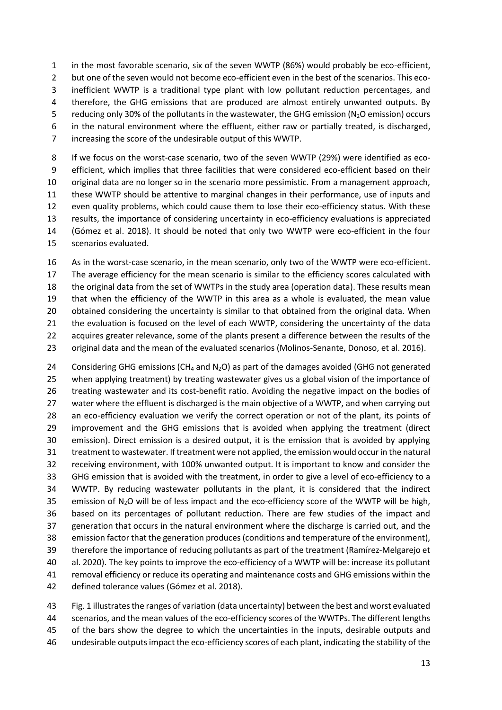in the most favorable scenario, six of the seven WWTP (86%) would probably be eco-efficient, 2 but one of the seven would not become eco-efficient even in the best of the scenarios. This eco- inefficient WWTP is a traditional type plant with low pollutant reduction percentages, and therefore, the GHG emissions that are produced are almost entirely unwanted outputs. By 5 reducing only 30% of the pollutants in the wastewater, the GHG emission ( $N_2O$  emission) occurs in the natural environment where the effluent, either raw or partially treated, is discharged, increasing the score of the undesirable output of this WWTP. If we focus on the worst-case scenario, two of the seven WWTP (29%) were identified as eco-

 efficient, which implies that three facilities that were considered eco-efficient based on their original data are no longer so in the scenario more pessimistic. From a management approach, these WWTP should be attentive to marginal changes in their performance, use of inputs and even quality problems, which could cause them to lose their eco-efficiency status. With these results, the importance of considering uncertainty in eco-efficiency evaluations is appreciated (Gómez et al. 2018). It should be noted that only two WWTP were eco-efficient in the four scenarios evaluated.

 As in the worst-case scenario, in the mean scenario, only two of the WWTP were eco-efficient. The average efficiency for the mean scenario is similar to the efficiency scores calculated with the original data from the set of WWTPs in the study area (operation data). These results mean that when the efficiency of the WWTP in this area as a whole is evaluated, the mean value 20 obtained considering the uncertainty is similar to that obtained from the original data. When the evaluation is focused on the level of each WWTP, considering the uncertainty of the data acquires greater relevance, some of the plants present a difference between the results of the original data and the mean of the evaluated scenarios (Molinos-Senante, Donoso, et al. 2016).

24 Considering GHG emissions (CH<sub>4</sub> and N<sub>2</sub>O) as part of the damages avoided (GHG not generated when applying treatment) by treating wastewater gives us a global vision of the importance of treating wastewater and its cost-benefit ratio. Avoiding the negative impact on the bodies of 27 water where the effluent is discharged is the main objective of a WWTP, and when carrying out an eco-efficiency evaluation we verify the correct operation or not of the plant, its points of improvement and the GHG emissions that is avoided when applying the treatment (direct emission). Direct emission is a desired output, it is the emission that is avoided by applying treatment to wastewater. If treatment were not applied, the emission would occur in the natural receiving environment, with 100% unwanted output. It is important to know and consider the GHG emission that is avoided with the treatment, in order to give a level of eco-efficiency to a WWTP. By reducing wastewater pollutants in the plant, it is considered that the indirect 35 emission of N<sub>2</sub>O will be of less impact and the eco-efficiency score of the WWTP will be high, based on its percentages of pollutant reduction. There are few studies of the impact and generation that occurs in the natural environment where the discharge is carried out, and the emission factor that the generation produces (conditions and temperature of the environment), therefore the importance of reducing pollutants as part of the treatment (Ramírez-Melgarejo et al. 2020). The key points to improve the eco-efficiency of a WWTP will be: increase its pollutant removal efficiency or reduce its operating and maintenance costs and GHG emissions within the defined tolerance values (Gómez et al. 2018).

 Fig. 1 illustratesthe ranges of variation (data uncertainty) between the best and worst evaluated scenarios, and the mean values of the eco-efficiency scores of the WWTPs. The different lengths 45 of the bars show the degree to which the uncertainties in the inputs, desirable outputs and undesirable outputs impact the eco-efficiency scores of each plant, indicating the stability of the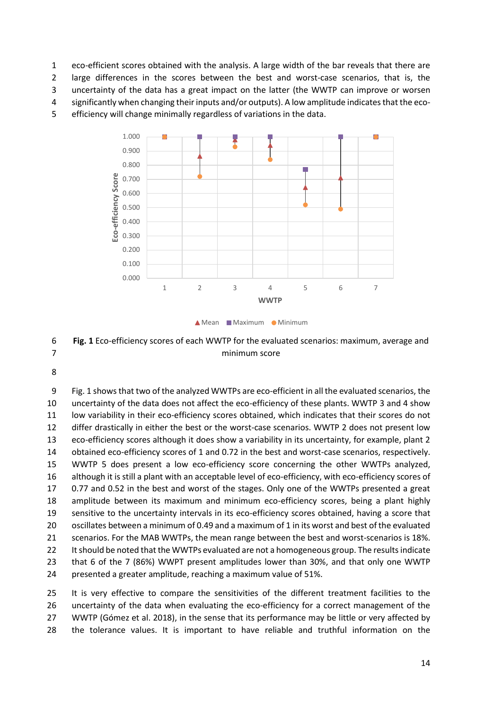eco-efficient scores obtained with the analysis. A large width of the bar reveals that there are

large differences in the scores between the best and worst-case scenarios, that is, the

uncertainty of the data has a great impact on the latter (the WWTP can improve or worsen

significantly when changing their inputs and/or outputs). A low amplitude indicates that the eco-

efficiency will change minimally regardless of variations in the data.



**A** Mean Maximum Minimum

 **Fig. 1** Eco-efficiency scores of each WWTP for the evaluated scenarios: maximum, average and minimum score

 Fig. 1 showsthat two of the analyzed WWTPs are eco-efficient in all the evaluated scenarios, the uncertainty of the data does not affect the eco-efficiency of these plants. WWTP 3 and 4 show low variability in their eco-efficiency scores obtained, which indicates that their scores do not differ drastically in either the best or the worst-case scenarios. WWTP 2 does not present low eco-efficiency scores although it does show a variability in its uncertainty, for example, plant 2 obtained eco-efficiency scores of 1 and 0.72 in the best and worst-case scenarios, respectively. WWTP 5 does present a low eco-efficiency score concerning the other WWTPs analyzed, although it is still a plant with an acceptable level of eco-efficiency, with eco-efficiency scores of 0.77 and 0.52 in the best and worst of the stages. Only one of the WWTPs presented a great amplitude between its maximum and minimum eco-efficiency scores, being a plant highly sensitive to the uncertainty intervals in its eco-efficiency scores obtained, having a score that oscillates between a minimum of 0.49 and a maximum of 1 in its worst and best of the evaluated scenarios. For the MAB WWTPs, the mean range between the best and worst-scenarios is 18%. 22 It should be noted that the WWTPs evaluated are not a homogeneous group. The results indicate that 6 of the 7 (86%) WWPT present amplitudes lower than 30%, and that only one WWTP presented a greater amplitude, reaching a maximum value of 51%.

 It is very effective to compare the sensitivities of the different treatment facilities to the uncertainty of the data when evaluating the eco-efficiency for a correct management of the WWTP (Gómez et al. 2018), in the sense that its performance may be little or very affected by the tolerance values. It is important to have reliable and truthful information on the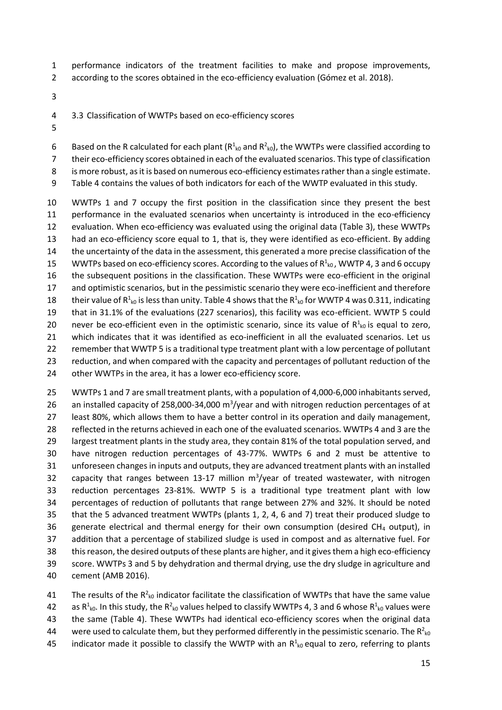- performance indicators of the treatment facilities to make and propose improvements,
- according to the scores obtained in the eco-efficiency evaluation (Gómez et al. 2018).
- 
- 3.3 Classification of WWTPs based on eco-efficiency scores
- 

6 Based on the R calculated for each plant ( $R^1_{k0}$  and  $R^2_{k0}$ ), the WWTPs were classified according to

their eco-efficiency scores obtained in each of the evaluated scenarios. This type of classification

is more robust, as it is based on numerous eco-efficiency estimates rather than a single estimate.

Table 4 contains the values of both indicators for each of the WWTP evaluated in this study.

 WWTPs 1 and 7 occupy the first position in the classification since they present the best performance in the evaluated scenarios when uncertainty is introduced in the eco-efficiency evaluation. When eco-efficiency was evaluated using the original data (Table 3), these WWTPs had an eco-efficiency score equal to 1, that is, they were identified as eco-efficient. By adding the uncertainty of the data in the assessment, this generated a more precise classification of the 15 WWTPs based on eco-efficiency scores. According to the values of  $R^1_{k0}$ , WWTP 4, 3 and 6 occupy the subsequent positions in the classification. These WWTPs were eco-efficient in the original and optimistic scenarios, but in the pessimistic scenario they were eco-inefficient and therefore 18 their value of  $R^1_{k0}$  is less than unity. Table 4 shows that the  $R^1_{k0}$  for WWTP 4 was 0.311, indicating that in 31.1% of the evaluations (227 scenarios), this facility was eco-efficient. WWTP 5 could 20 never be eco-efficient even in the optimistic scenario, since its value of  $R^1_{k0}$  is equal to zero, which indicates that it was identified as eco-inefficient in all the evaluated scenarios. Let us remember that WWTP 5 is a traditional type treatment plant with a low percentage of pollutant reduction, and when compared with the capacity and percentages of pollutant reduction of the other WWTPs in the area, it has a lower eco-efficiency score.

 WWTPs 1 and 7 are small treatment plants, with a population of 4,000-6,000 inhabitants served, 26 an installed capacity of 258,000-34,000 m<sup>3</sup>/year and with nitrogen reduction percentages of at least 80%, which allows them to have a better control in its operation and daily management, reflected in the returns achieved in each one of the evaluated scenarios. WWTPs 4 and 3 are the largest treatment plants in the study area, they contain 81% of the total population served, and have nitrogen reduction percentages of 43-77%. WWTPs 6 and 2 must be attentive to unforeseen changes in inputs and outputs, they are advanced treatment plants with an installed 32 capacity that ranges between 13-17 million  $m^3$ /year of treated wastewater, with nitrogen reduction percentages 23-81%. WWTP 5 is a traditional type treatment plant with low percentages of reduction of pollutants that range between 27% and 32%. It should be noted that the 5 advanced treatment WWTPs (plants 1, 2, 4, 6 and 7) treat their produced sludge to 36 generate electrical and thermal energy for their own consumption (desired CH<sub>4</sub> output), in addition that a percentage of stabilized sludge is used in compost and as alternative fuel. For 38 this reason, the desired outputs of these plants are higher, and it gives them a high eco-efficiency score. WWTPs 3 and 5 by dehydration and thermal drying, use the dry sludge in agriculture and cement (AMB 2016).

41 The results of the  $R^2_{k0}$  indicator facilitate the classification of WWTPs that have the same value 42 as R<sup>1</sup><sub>k0</sub>. In this study, the R<sup>2</sup><sub>k0</sub> values helped to classify WWTPs 4, 3 and 6 whose R<sup>1</sup><sub>k0</sub> values were the same (Table 4). These WWTPs had identical eco-efficiency scores when the original data 44 were used to calculate them, but they performed differently in the pessimistic scenario. The R<sup>2</sup><sub>k0</sub> 45 indicator made it possible to classify the WWTP with an  $R^1_{k0}$  equal to zero, referring to plants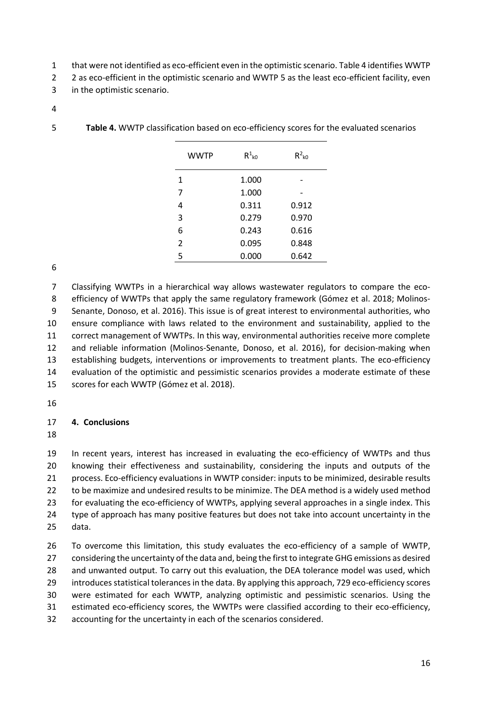- that were not identified as eco-efficient even in the optimistic scenario. Table 4 identifies WWTP
- 2 2 as eco-efficient in the optimistic scenario and WWTP 5 as the least eco-efficient facility, even
- in the optimistic scenario.
- 

| <b>WWTP</b>    | $R^1_{k0}$ | $R^2_{k0}$ |
|----------------|------------|------------|
| 1              | 1.000      |            |
| 7              | 1.000      |            |
| 4              | 0.311      | 0.912      |
| 3              | 0.279      | 0.970      |
| 6              | 0.243      | 0.616      |
| $\overline{2}$ | 0.095      | 0.848      |
| 5              | 0.000      | 0.642      |

**Table 4.** WWTP classification based on eco-efficiency scores for the evaluated scenarios

 Classifying WWTPs in a hierarchical way allows wastewater regulators to compare the eco- efficiency of WWTPs that apply the same regulatory framework (Gómez et al. 2018; Molinos- Senante, Donoso, et al. 2016). This issue is of great interest to environmental authorities, who ensure compliance with laws related to the environment and sustainability, applied to the correct management of WWTPs. In this way, environmental authorities receive more complete and reliable information (Molinos-Senante, Donoso, et al. 2016), for decision-making when establishing budgets, interventions or improvements to treatment plants. The eco-efficiency evaluation of the optimistic and pessimistic scenarios provides a moderate estimate of these scores for each WWTP (Gómez et al. 2018).

## **4. Conclusions**

 In recent years, interest has increased in evaluating the eco-efficiency of WWTPs and thus knowing their effectiveness and sustainability, considering the inputs and outputs of the process. Eco-efficiency evaluations in WWTP consider: inputs to be minimized, desirable results to be maximize and undesired results to be minimize. The DEA method is a widely used method for evaluating the eco-efficiency of WWTPs, applying several approaches in a single index. This 24 type of approach has many positive features but does not take into account uncertainty in the data.

 To overcome this limitation, this study evaluates the eco-efficiency of a sample of WWTP, considering the uncertainty of the data and, being the first to integrate GHG emissions as desired 28 and unwanted output. To carry out this evaluation, the DEA tolerance model was used, which introduces statistical tolerances in the data. By applying this approach, 729 eco-efficiency scores were estimated for each WWTP, analyzing optimistic and pessimistic scenarios. Using the estimated eco-efficiency scores, the WWTPs were classified according to their eco-efficiency, accounting for the uncertainty in each of the scenarios considered.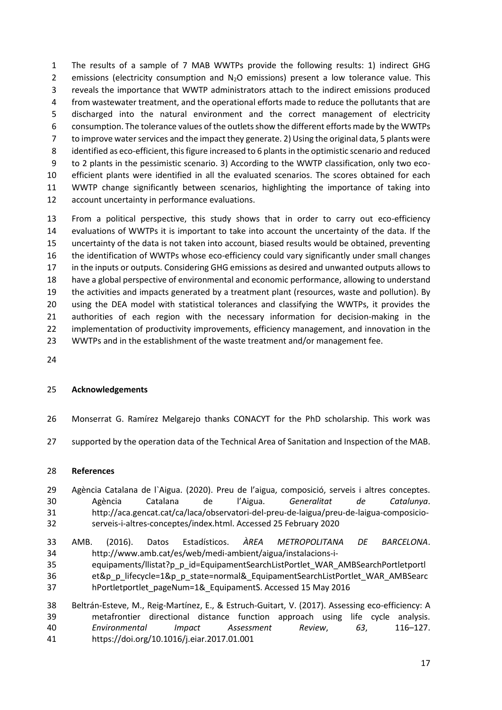The results of a sample of 7 MAB WWTPs provide the following results: 1) indirect GHG 2 emissions (electricity consumption and  $N_2O$  emissions) present a low tolerance value. This reveals the importance that WWTP administrators attach to the indirect emissions produced from wastewater treatment, and the operational efforts made to reduce the pollutants that are discharged into the natural environment and the correct management of electricity consumption. The tolerance values of the outlets show the different efforts made by the WWTPs to improve water services and the impact they generate. 2) Using the original data, 5 plants were identified as eco-efficient, this figure increased to 6 plants in the optimistic scenario and reduced to 2 plants in the pessimistic scenario. 3) According to the WWTP classification, only two eco- efficient plants were identified in all the evaluated scenarios. The scores obtained for each WWTP change significantly between scenarios, highlighting the importance of taking into account uncertainty in performance evaluations.

 From a political perspective, this study shows that in order to carry out eco-efficiency evaluations of WWTPs it is important to take into account the uncertainty of the data. If the uncertainty of the data is not taken into account, biased results would be obtained, preventing the identification of WWTPs whose eco-efficiency could vary significantly under small changes in the inputs or outputs. Considering GHG emissions as desired and unwanted outputs allows to have a global perspective of environmental and economic performance, allowing to understand the activities and impacts generated by a treatment plant (resources, waste and pollution). By using the DEA model with statistical tolerances and classifying the WWTPs, it provides the authorities of each region with the necessary information for decision-making in the implementation of productivity improvements, efficiency management, and innovation in the WWTPs and in the establishment of the waste treatment and/or management fee.

### **Acknowledgements**

- Monserrat G. Ramírez Melgarejo thanks CONACYT for the PhD scholarship. This work was
- supported by the operation data of the Technical Area of Sanitation and Inspection of the MAB.

### **References**

- Agència Catalana de l`Aigua. (2020). Preu de l'aigua, composició, serveis i altres conceptes. Agència Catalana de l'Aigua. *Generalitat de Catalunya*. http://aca.gencat.cat/ca/laca/observatori-del-preu-de-laigua/preu-de-laigua-composicio-serveis-i-altres-conceptes/index.html. Accessed 25 February 2020
- AMB. (2016). Datos Estadísticos. *ÀREA METROPOLITANA DE BARCELONA*. http://www.amb.cat/es/web/medi-ambient/aigua/instalacions-i- equipaments/llistat?p\_p\_id=EquipamentSearchListPortlet\_WAR\_AMBSearchPortletportl et&p\_p\_lifecycle=1&p\_p\_state=normal&\_EquipamentSearchListPortlet\_WAR\_AMBSearc hPortletportlet\_pageNum=1&\_EquipamentS. Accessed 15 May 2016
- Beltrán-Esteve, M., Reig-Martínez, E., & Estruch-Guitart, V. (2017). Assessing eco-efficiency: A metafrontier directional distance function approach using life cycle analysis. *Environmental Impact Assessment Review*, *63*, 116–127. https://doi.org/10.1016/j.eiar.2017.01.001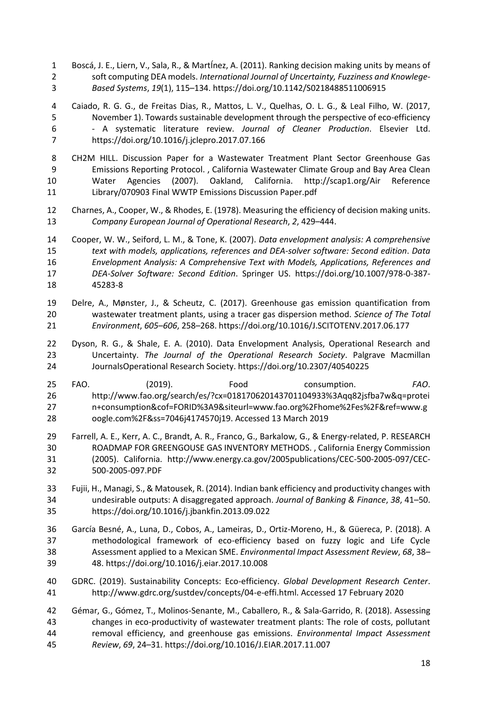- Boscá, J. E., Liern, V., Sala, R., & MartÍnez, A. (2011). Ranking decision making units by means of soft computing DEA models. *International Journal of Uncertainty, Fuzziness and Knowlege-Based Systems*, *19*(1), 115–134. https://doi.org/10.1142/S0218488511006915
- Caiado, R. G. G., de Freitas Dias, R., Mattos, L. V., Quelhas, O. L. G., & Leal Filho, W. (2017, November 1). Towards sustainable development through the perspective of eco-efficiency - A systematic literature review. *Journal of Cleaner Production*. Elsevier Ltd. https://doi.org/10.1016/j.jclepro.2017.07.166
- CH2M HILL. Discussion Paper for a Wastewater Treatment Plant Sector Greenhouse Gas Emissions Reporting Protocol. , California Wastewater Climate Group and Bay Area Clean Water Agencies (2007). Oakland, California. http://scap1.org/Air Reference Library/070903 Final WWTP Emissions Discussion Paper.pdf
- Charnes, A., Cooper, W., & Rhodes, E. (1978). Measuring the efficiency of decision making units. *Company European Journal of Operational Research*, *2*, 429–444.
- Cooper, W. W., Seiford, L. M., & Tone, K. (2007). *Data envelopment analysis: A comprehensive text with models, applications, references and DEA-solver software: Second edition*. *Data Envelopment Analysis: A Comprehensive Text with Models, Applications, References and DEA-Solver Software: Second Edition*. Springer US. https://doi.org/10.1007/978-0-387- 45283-8
- Delre, A., Mønster, J., & Scheutz, C. (2017). Greenhouse gas emission quantification from wastewater treatment plants, using a tracer gas dispersion method. *Science of The Total Environment*, *605*–*606*, 258–268. https://doi.org/10.1016/J.SCITOTENV.2017.06.177
- Dyson, R. G., & Shale, E. A. (2010). Data Envelopment Analysis, Operational Research and Uncertainty. *The Journal of the Operational Research Society*. Palgrave Macmillan JournalsOperational Research Society. https://doi.org/10.2307/40540225
- FAO. (2019). Food consumption. *FAO*. http://www.fao.org/search/es/?cx=018170620143701104933%3Aqq82jsfba7w&q=protei n+consumption&cof=FORID%3A9&siteurl=www.fao.org%2Fhome%2Fes%2F&ref=www.g oogle.com%2F&ss=7046j4174570j19. Accessed 13 March 2019
- Farrell, A. E., Kerr, A. C., Brandt, A. R., Franco, G., Barkalow, G., & Energy-related, P. RESEARCH ROADMAP FOR GREENGOUSE GAS INVENTORY METHODS. , California Energy Commission (2005). California. http://www.energy.ca.gov/2005publications/CEC-500-2005-097/CEC-500-2005-097.PDF
- Fujii, H., Managi, S., & Matousek, R. (2014). Indian bank efficiency and productivity changes with undesirable outputs: A disaggregated approach. *Journal of Banking & Finance*, *38*, 41–50. https://doi.org/10.1016/j.jbankfin.2013.09.022
- García Besné, A., Luna, D., Cobos, A., Lameiras, D., Ortiz-Moreno, H., & Güereca, P. (2018). A methodological framework of eco-efficiency based on fuzzy logic and Life Cycle Assessment applied to a Mexican SME. *Environmental Impact Assessment Review*, *68*, 38– 48. https://doi.org/10.1016/j.eiar.2017.10.008
- GDRC. (2019). Sustainability Concepts: Eco-efficiency. *Global Development Research Center*. http://www.gdrc.org/sustdev/concepts/04-e-effi.html. Accessed 17 February 2020
- Gémar, G., Gómez, T., Molinos-Senante, M., Caballero, R., & Sala-Garrido, R. (2018). Assessing changes in eco-productivity of wastewater treatment plants: The role of costs, pollutant removal efficiency, and greenhouse gas emissions. *Environmental Impact Assessment Review*, *69*, 24–31. https://doi.org/10.1016/J.EIAR.2017.11.007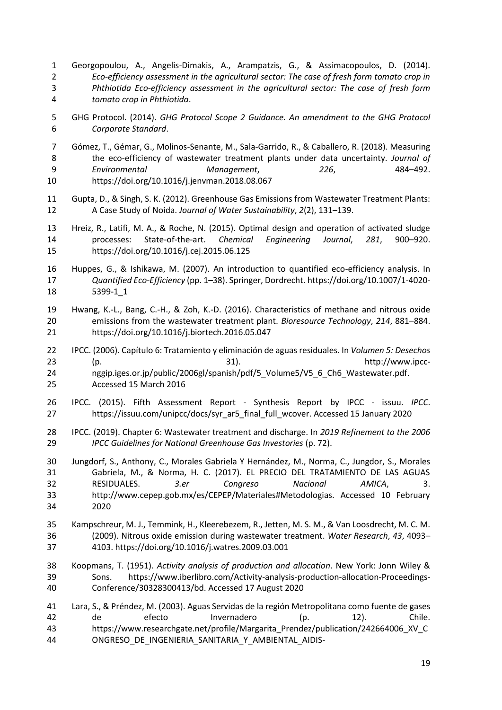- Georgopoulou, A., Angelis-Dimakis, A., Arampatzis, G., & Assimacopoulos, D. (2014). *Eco-efficiency assessment in the agricultural sector: The case of fresh form tomato crop in Phthiotida Eco-efficiency assessment in the agricultural sector: The case of fresh form tomato crop in Phthiotida*.
- GHG Protocol. (2014). *GHG Protocol Scope 2 Guidance. An amendment to the GHG Protocol Corporate Standard*.
- Gómez, T., Gémar, G., Molinos-Senante, M., Sala-Garrido, R., & Caballero, R. (2018). Measuring the eco-efficiency of wastewater treatment plants under data uncertainty. *Journal of Environmental Management*, *226*, 484–492. https://doi.org/10.1016/j.jenvman.2018.08.067
- Gupta, D., & Singh, S. K. (2012). Greenhouse Gas Emissions from Wastewater Treatment Plants: A Case Study of Noida. *Journal of Water Sustainability*, *2*(2), 131–139.
- Hreiz, R., Latifi, M. A., & Roche, N. (2015). Optimal design and operation of activated sludge processes: State-of-the-art. *Chemical Engineering Journal*, *281*, 900–920. https://doi.org/10.1016/j.cej.2015.06.125
- Huppes, G., & Ishikawa, M. (2007). An introduction to quantified eco-efficiency analysis. In *Quantified Eco-Efficiency* (pp. 1–38). Springer, Dordrecht. https://doi.org/10.1007/1-4020- 5399-1\_1
- Hwang, K.-L., Bang, C.-H., & Zoh, K.-D. (2016). Characteristics of methane and nitrous oxide emissions from the wastewater treatment plant. *Bioresource Technology*, *214*, 881–884. https://doi.org/10.1016/j.biortech.2016.05.047
- IPCC. (2006). Capítulo 6: Tratamiento y eliminación de aguas residuales. In *Volumen 5: Desechos* (p. 31). http://www.ipcc- nggip.iges.or.jp/public/2006gl/spanish/pdf/5\_Volume5/V5\_6\_Ch6\_Wastewater.pdf. Accessed 15 March 2016
- IPCC. (2015). Fifth Assessment Report Synthesis Report by IPCC issuu. *IPCC*. https://issuu.com/unipcc/docs/syr\_ar5\_final\_full\_wcover. Accessed 15 January 2020
- IPCC. (2019). Chapter 6: Wastewater treatment and discharge. In *2019 Refinement to the 2006 IPCC Guidelines for National Greenhouse Gas Investories* (p. 72).
- Jungdorf, S., Anthony, C., Morales Gabriela Y Hernández, M., Norma, C., Jungdor, S., Morales Gabriela, M., & Norma, H. C. (2017). EL PRECIO DEL TRATAMIENTO DE LAS AGUAS RESIDUALES. *3.er Congreso Nacional AMICA*, 3. http://www.cepep.gob.mx/es/CEPEP/Materiales#Metodologias. Accessed 10 February 2020
- Kampschreur, M. J., Temmink, H., Kleerebezem, R., Jetten, M. S. M., & Van Loosdrecht, M. C. M. (2009). Nitrous oxide emission during wastewater treatment. *Water Research*, *43*, 4093– 4103. https://doi.org/10.1016/j.watres.2009.03.001
- Koopmans, T. (1951). *Activity analysis of production and allocation*. New York: Jonn Wiley & Sons. https://www.iberlibro.com/Activity-analysis-production-allocation-Proceedings-Conference/30328300413/bd. Accessed 17 August 2020
- Lara, S., & Préndez, M. (2003). Aguas Servidas de la región Metropolitana como fuente de gases de efecto Invernadero (p. 12). Chile. https://www.researchgate.net/profile/Margarita\_Prendez/publication/242664006\_XV\_C ONGRESO\_DE\_INGENIERIA\_SANITARIA\_Y\_AMBIENTAL\_AIDIS-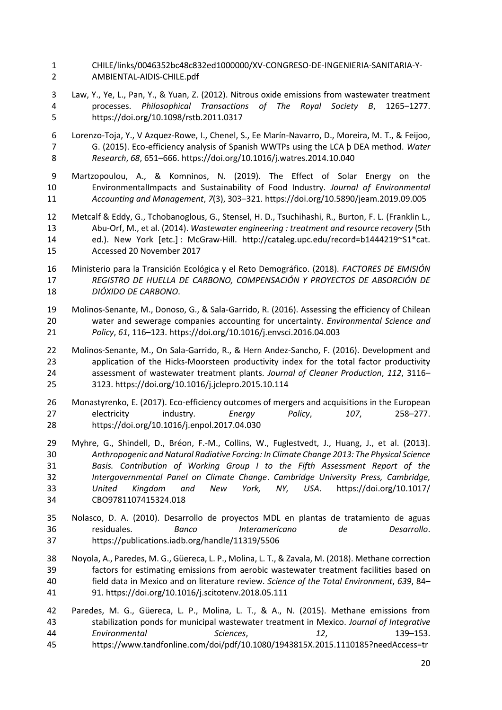- CHILE/links/0046352bc48c832ed1000000/XV-CONGRESO-DE-INGENIERIA-SANITARIA-Y-AMBIENTAL-AIDIS-CHILE.pdf
- Law, Y., Ye, L., Pan, Y., & Yuan, Z. (2012). Nitrous oxide emissions from wastewater treatment processes. *Philosophical Transactions of The Royal Society B*, 1265–1277. https://doi.org/10.1098/rstb.2011.0317
- Lorenzo-Toja, Y., V Azquez-Rowe, I., Chenel, S., Ee Marín-Navarro, D., Moreira, M. T., & Feijoo, G. (2015). Eco-efficiency analysis of Spanish WWTPs using the LCA þ DEA method. *Water Research*, *68*, 651–666. https://doi.org/10.1016/j.watres.2014.10.040
- Martzopoulou, A., & Komninos, N. (2019). The Effect of Solar Energy on the EnvironmentalImpacts and Sustainability of Food Industry. *Journal of Environmental Accounting and Management*, *7*(3), 303–321. https://doi.org/10.5890/jeam.2019.09.005
- Metcalf & Eddy, G., Tchobanoglous, G., Stensel, H. D., Tsuchihashi, R., Burton, F. L. (Franklin L., Abu-Orf, M., et al. (2014). *Wastewater engineering : treatment and resource recovery* (5th ed.). New York [etc.] : McGraw-Hill. http://cataleg.upc.edu/record=b1444219~S1\*cat. Accessed 20 November 2017
- Ministerio para la Transición Ecológica y el Reto Demográfico. (2018). *FACTORES DE EMISIÓN REGISTRO DE HUELLA DE CARBONO, COMPENSACIÓN Y PROYECTOS DE ABSORCIÓN DE DIÓXIDO DE CARBONO*.
- Molinos-Senante, M., Donoso, G., & Sala-Garrido, R. (2016). Assessing the efficiency of Chilean water and sewerage companies accounting for uncertainty. *Environmental Science and Policy*, *61*, 116–123. https://doi.org/10.1016/j.envsci.2016.04.003
- Molinos-Senante, M., On Sala-Garrido, R., & Hern Andez-Sancho, F. (2016). Development and application of the Hicks-Moorsteen productivity index for the total factor productivity assessment of wastewater treatment plants. *Journal of Cleaner Production*, *112*, 3116– 3123. https://doi.org/10.1016/j.jclepro.2015.10.114
- Monastyrenko, E. (2017). Eco-efficiency outcomes of mergers and acquisitions in the European electricity industry. *Energy Policy*, *107*, 258–277. https://doi.org/10.1016/j.enpol.2017.04.030
- Myhre, G., Shindell, D., Bréon, F.-M., Collins, W., Fuglestvedt, J., Huang, J., et al. (2013). *Anthropogenic and Natural Radiative Forcing: In Climate Change 2013: The Physical Science Basis. Contribution of Working Group I to the Fifth Assessment Report of the Intergovernmental Panel on Climate Change*. *Cambridge University Press, Cambridge, United Kingdom and New York, NY, USA*. https://doi.org/10.1017/ CBO9781107415324.018
- Nolasco, D. A. (2010). Desarrollo de proyectos MDL en plantas de tratamiento de aguas residuales. *Banco Interamericano de Desarrollo*. https://publications.iadb.org/handle/11319/5506
- Noyola, A., Paredes, M. G., Güereca, L. P., Molina, L. T., & Zavala, M. (2018). Methane correction factors for estimating emissions from aerobic wastewater treatment facilities based on field data in Mexico and on literature review. *Science of the Total Environment*, *639*, 84– 91. https://doi.org/10.1016/j.scitotenv.2018.05.111
- Paredes, M. G., Güereca, L. P., Molina, L. T., & A., N. (2015). Methane emissions from stabilization ponds for municipal wastewater treatment in Mexico. *Journal of Integrative Environmental Sciences*, *12*, 139–153. https://www.tandfonline.com/doi/pdf/10.1080/1943815X.2015.1110185?needAccess=tr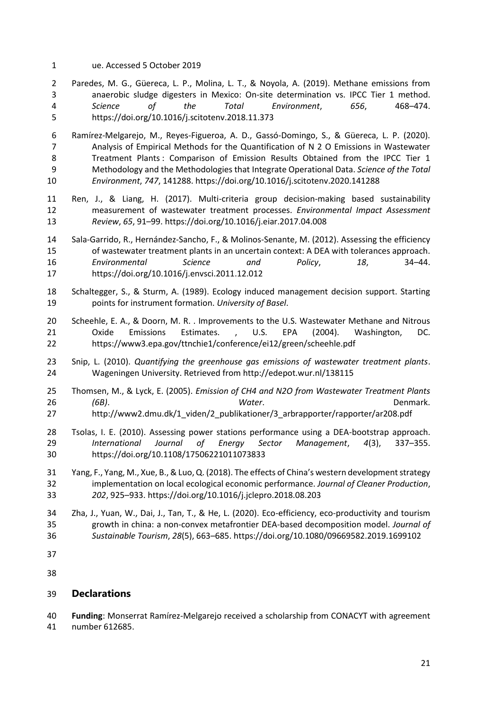ue. Accessed 5 October 2019

 Paredes, M. G., Güereca, L. P., Molina, L. T., & Noyola, A. (2019). Methane emissions from anaerobic sludge digesters in Mexico: On-site determination vs. IPCC Tier 1 method. *Science of the Total Environment*, *656*, 468–474. https://doi.org/10.1016/j.scitotenv.2018.11.373

 Ramírez-Melgarejo, M., Reyes-Figueroa, A. D., Gassó-Domingo, S., & Güereca, L. P. (2020). Analysis of Empirical Methods for the Quantification of N 2 O Emissions in Wastewater Treatment Plants : Comparison of Emission Results Obtained from the IPCC Tier 1 Methodology and the Methodologies that Integrate Operational Data. *Science of the Total Environment*, *747*, 141288. https://doi.org/10.1016/j.scitotenv.2020.141288

- Ren, J., & Liang, H. (2017). Multi-criteria group decision-making based sustainability measurement of wastewater treatment processes. *Environmental Impact Assessment Review*, *65*, 91–99. https://doi.org/10.1016/j.eiar.2017.04.008
- Sala-Garrido, R., Hernández-Sancho, F., & Molinos-Senante, M. (2012). Assessing the efficiency of wastewater treatment plants in an uncertain context: A DEA with tolerances approach. *Environmental Science and Policy*, *18*, 34–44. https://doi.org/10.1016/j.envsci.2011.12.012
- Schaltegger, S., & Sturm, A. (1989). Ecology induced management decision support. Starting points for instrument formation. *University of Basel*.
- Scheehle, E. A., & Doorn, M. R. . Improvements to the U.S. Wastewater Methane and Nitrous Oxide Emissions Estimates. , U.S. EPA (2004). Washington, DC. https://www3.epa.gov/ttnchie1/conference/ei12/green/scheehle.pdf
- Snip, L. (2010). *Quantifying the greenhouse gas emissions of wastewater treatment plants*. Wageningen University. Retrieved from http://edepot.wur.nl/138115
- Thomsen, M., & Lyck, E. (2005). *Emission of CH4 and N2O from Wastewater Treatment Plants (6B)*. *Water*. Denmark. http://www2.dmu.dk/1\_viden/2\_publikationer/3\_arbrapporter/rapporter/ar208.pdf
- Tsolas, I. E. (2010). Assessing power stations performance using a DEA-bootstrap approach. *International Journal of Energy Sector Management*, *4*(3), 337–355. https://doi.org/10.1108/17506221011073833
- Yang, F., Yang, M., Xue, B., & Luo, Q. (2018). The effects of China's western development strategy implementation on local ecological economic performance. *Journal of Cleaner Production*, *202*, 925–933. https://doi.org/10.1016/j.jclepro.2018.08.203
- Zha, J., Yuan, W., Dai, J., Tan, T., & He, L. (2020). Eco-efficiency, eco-productivity and tourism growth in china: a non-convex metafrontier DEA-based decomposition model. *Journal of Sustainable Tourism*, *28*(5), 663–685. https://doi.org/10.1080/09669582.2019.1699102
- 

# **Declarations**

**Funding**: Monserrat Ramírez-Melgarejo received a scholarship from CONACYT with agreement

number 612685.